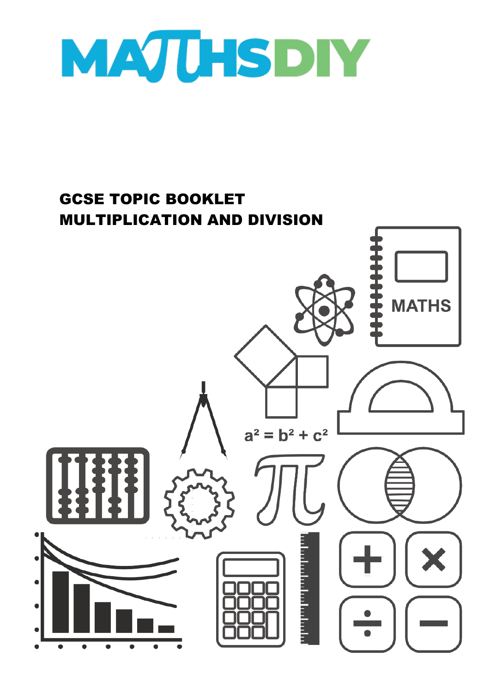

## GCSE TOPIC BOOKLET MULTIPLICATION AND DIVISION

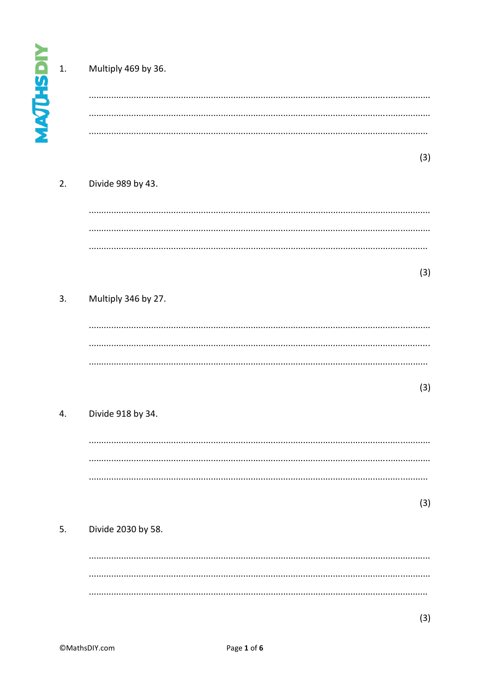|                | 1. | Multiply 469 by 36. |     |
|----------------|----|---------------------|-----|
| <b>MAJUHSD</b> |    |                     |     |
|                |    |                     |     |
|                |    |                     |     |
|                |    |                     | (3) |
|                | 2. | Divide 989 by 43.   |     |
|                |    |                     |     |
|                |    |                     |     |
|                |    |                     |     |
|                |    |                     | (3) |
|                | 3. | Multiply 346 by 27. |     |
|                |    |                     |     |
|                |    |                     |     |
|                |    |                     |     |
|                |    |                     |     |
|                |    |                     | (3) |
|                | 4. | Divide 918 by 34.   |     |
|                |    |                     |     |
|                |    |                     |     |
|                |    |                     |     |
|                |    |                     | (3) |
|                |    |                     |     |
|                | 5. | Divide 2030 by 58.  |     |
|                |    |                     |     |
|                |    |                     |     |
|                |    |                     |     |
|                |    |                     | (3) |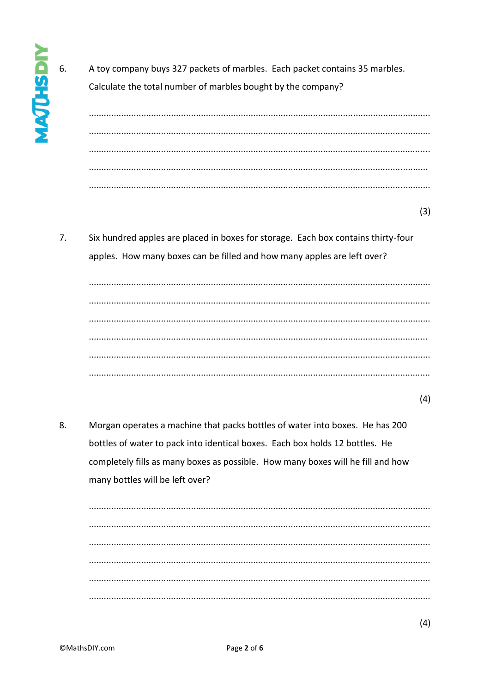A toy company buys 327 packets of marbles. Each packet contains 35 marbles. Calculate the total number of marbles bought by the company?

 $(3)$ 

 $7<sub>1</sub>$ Six hundred apples are placed in boxes for storage. Each box contains thirty-four apples. How many boxes can be filled and how many apples are left over?

 $(4)$ 

8. Morgan operates a machine that packs bottles of water into boxes. He has 200 bottles of water to pack into identical boxes. Each box holds 12 bottles. He completely fills as many boxes as possible. How many boxes will he fill and how many bottles will be left over?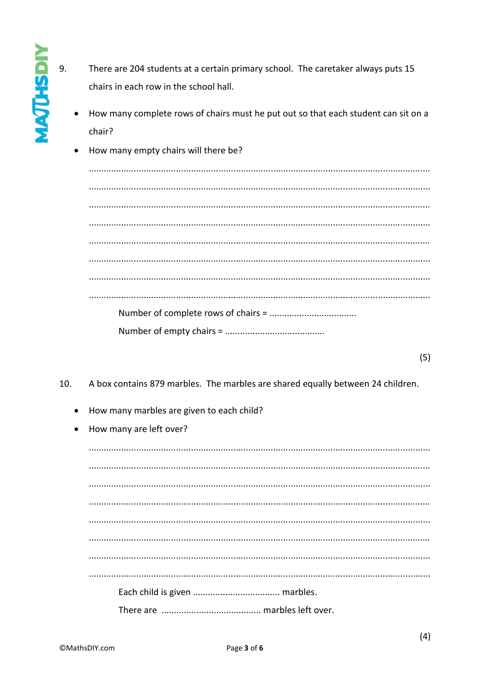- 9. There are 204 students at a certain primary school. The caretaker always puts 15 chairs in each row in the school hall.
	- How many complete rows of chairs must he put out so that each student can sit on a chair?
	- How many empty chairs will there be?  $\bullet$

 $(5)$ 

- A box contains 879 marbles. The marbles are shared equally between 24 children.  $10.$ 
	- How many marbles are given to each child?
	- How many are left over?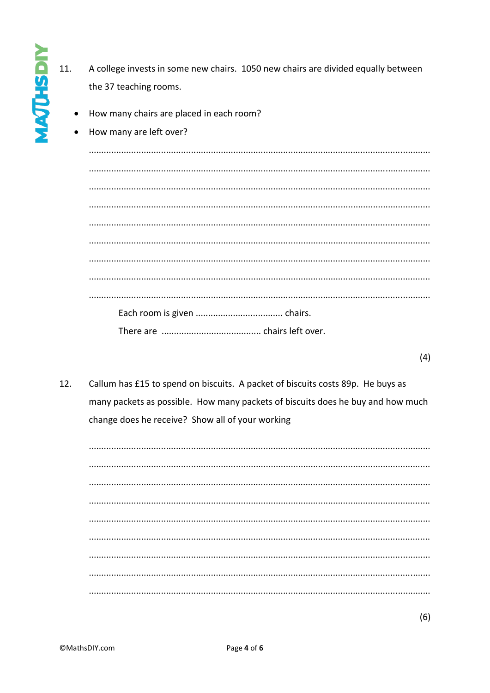- $11.$ A college invests in some new chairs. 1050 new chairs are divided equally between the 37 teaching rooms.
	- How many chairs are placed in each room?
	- How many are left over?

**NOSHOW** 

- $(4)$
- $12.$ Callum has £15 to spend on biscuits. A packet of biscuits costs 89p. He buys as many packets as possible. How many packets of biscuits does he buy and how much change does he receive? Show all of your working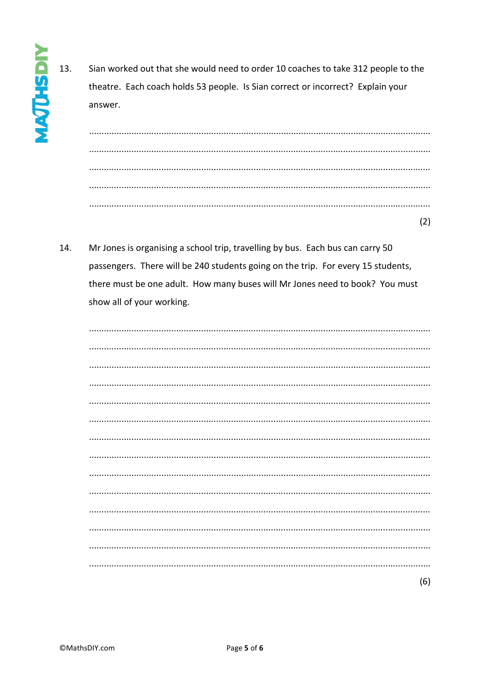13. Sian worked out that she would need to order 10 coaches to take 312 people to the theatre. Each coach holds 53 people. Is Sian correct or incorrect? Explain your answer.

 $\cdots$  $(2)$ 

14. Mr Jones is organising a school trip, travelling by bus. Each bus can carry 50 passengers. There will be 240 students going on the trip. For every 15 students, there must be one adult. How many buses will Mr Jones need to book? You must show all of your working.

|  | (6) |
|--|-----|